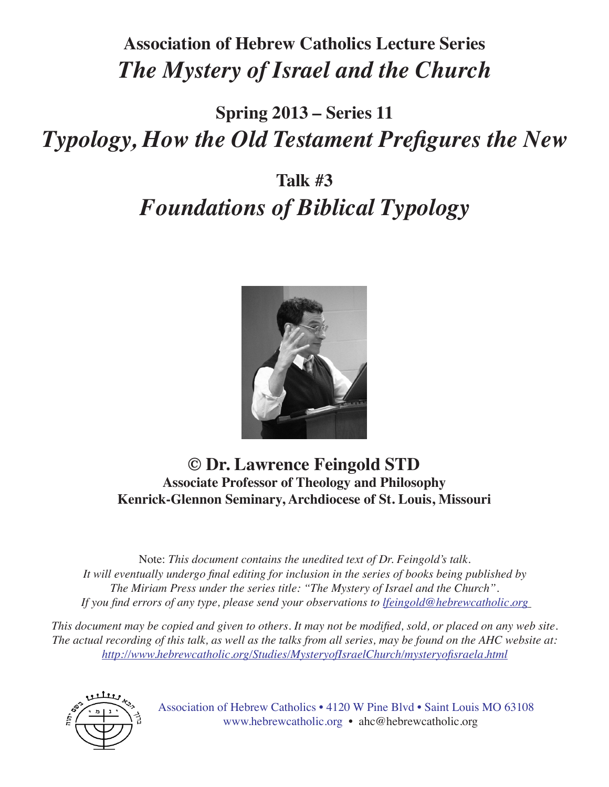### **Association of Hebrew Catholics Lecture Series** *The Mystery of Israel and the Church*

## **Spring 2013 – Series 11** *Typology, How the Old Testament Prefigures the New*

# **Talk #3** *Foundations of Biblical Typology*



### **© Dr. Lawrence Feingold STD Associate Professor of Theology and Philosophy Kenrick-Glennon Seminary, Archdiocese of St. Louis, Missouri**

Note: *This document contains the unedited text of Dr. Feingold's talk. It will eventually undergo final editing for inclusion in the series of books being published by The Miriam Press under the series title: "The Mystery of Israel and the Church". If you find errors of any type, please send your observations to lfeingold@hebrewcatholic.org*

*This document may be copied and given to others. It may not be modified, sold, or placed on any web site. The actual recording of this talk, as well as the talks from all series, may be found on the AHC website at: http://www.hebrewcatholic.org/Studies/MysteryofIsraelChurch/mysteryofisraela.html*



Association of Hebrew Catholics • 4120 W Pine Blvd • Saint Louis MO 63108 www.hebrewcatholic.org • ahc@hebrewcatholic.org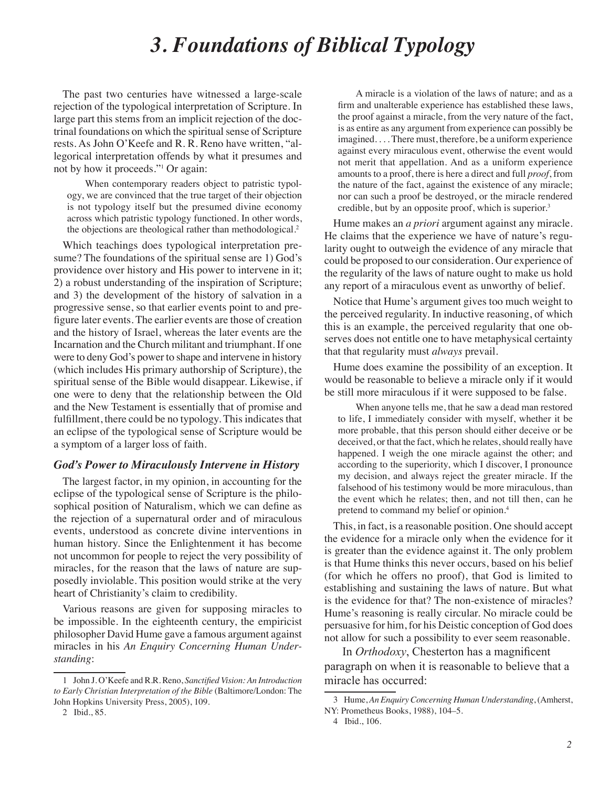### *3. Foundations of Biblical Typology*

The past two centuries have witnessed a large-scale rejection of the typological interpretation of Scripture. In large part this stems from an implicit rejection of the doctrinal foundations on which the spiritual sense of Scripture rests. As John O'Keefe and R. R. Reno have written, "allegorical interpretation offends by what it presumes and not by how it proceeds."1 Or again:

When contemporary readers object to patristic typology, we are convinced that the true target of their objection is not typology itself but the presumed divine economy across which patristic typology functioned. In other words, the objections are theological rather than methodological.2

Which teachings does typological interpretation presume? The foundations of the spiritual sense are 1) God's providence over history and His power to intervene in it; 2) a robust understanding of the inspiration of Scripture; and 3) the development of the history of salvation in a progressive sense, so that earlier events point to and prefigure later events. The earlier events are those of creation and the history of Israel, whereas the later events are the Incarnation and the Church militant and triumphant. If one were to deny God's power to shape and intervene in history (which includes His primary authorship of Scripture), the spiritual sense of the Bible would disappear. Likewise, if one were to deny that the relationship between the Old and the New Testament is essentially that of promise and fulfillment, there could be no typology. This indicates that an eclipse of the typological sense of Scripture would be a symptom of a larger loss of faith.

#### *God's Power to Miraculously Intervene in History*

The largest factor, in my opinion, in accounting for the eclipse of the typological sense of Scripture is the philosophical position of Naturalism, which we can define as the rejection of a supernatural order and of miraculous events, understood as concrete divine interventions in human history. Since the Enlightenment it has become not uncommon for people to reject the very possibility of miracles, for the reason that the laws of nature are supposedly inviolable. This position would strike at the very heart of Christianity's claim to credibility.

Various reasons are given for supposing miracles to be impossible. In the eighteenth century, the empiricist philosopher David Hume gave a famous argument against miracles in his *An Enquiry Concerning Human Understanding*:

A miracle is a violation of the laws of nature; and as a firm and unalterable experience has established these laws, the proof against a miracle, from the very nature of the fact, is as entire as any argument from experience can possibly be imagined. . . . There must, therefore, be a uniform experience against every miraculous event, otherwise the event would not merit that appellation. And as a uniform experience amounts to a proof, there is here a direct and full *proof*, from the nature of the fact, against the existence of any miracle; nor can such a proof be destroyed, or the miracle rendered credible, but by an opposite proof, which is superior.<sup>3</sup>

Hume makes an *a priori* argument against any miracle. He claims that the experience we have of nature's regularity ought to outweigh the evidence of any miracle that could be proposed to our consideration. Our experience of the regularity of the laws of nature ought to make us hold any report of a miraculous event as unworthy of belief.

Notice that Hume's argument gives too much weight to the perceived regularity. In inductive reasoning, of which this is an example, the perceived regularity that one observes does not entitle one to have metaphysical certainty that that regularity must *always* prevail.

Hume does examine the possibility of an exception. It would be reasonable to believe a miracle only if it would be still more miraculous if it were supposed to be false.

When anyone tells me, that he saw a dead man restored to life, I immediately consider with myself, whether it be more probable, that this person should either deceive or be deceived, or that the fact, which he relates, should really have happened. I weigh the one miracle against the other; and according to the superiority, which I discover, I pronounce my decision, and always reject the greater miracle. If the falsehood of his testimony would be more miraculous, than the event which he relates; then, and not till then, can he pretend to command my belief or opinion.4

This, in fact, is a reasonable position. One should accept the evidence for a miracle only when the evidence for it is greater than the evidence against it. The only problem is that Hume thinks this never occurs, based on his belief (for which he offers no proof), that God is limited to establishing and sustaining the laws of nature. But what is the evidence for that? The non-existence of miracles? Hume's reasoning is really circular. No miracle could be persuasive for him, for his Deistic conception of God does not allow for such a possibility to ever seem reasonable.

In *Orthodoxy*, Chesterton has a magnificent paragraph on when it is reasonable to believe that a miracle has occurred:

<sup>1</sup> John J. O'Keefe and R.R. Reno, *Sanctified Vision: An Introduction to Early Christian Interpretation of the Bible* (Baltimore/London: The John Hopkins University Press, 2005), 109.

<sup>2</sup> Ibid., 85.

<sup>3</sup> Hume, *An Enquiry Concerning Human Understanding*, (Amherst,

NY: Prometheus Books, 1988), 104–5.

<sup>4</sup> Ibid., 106.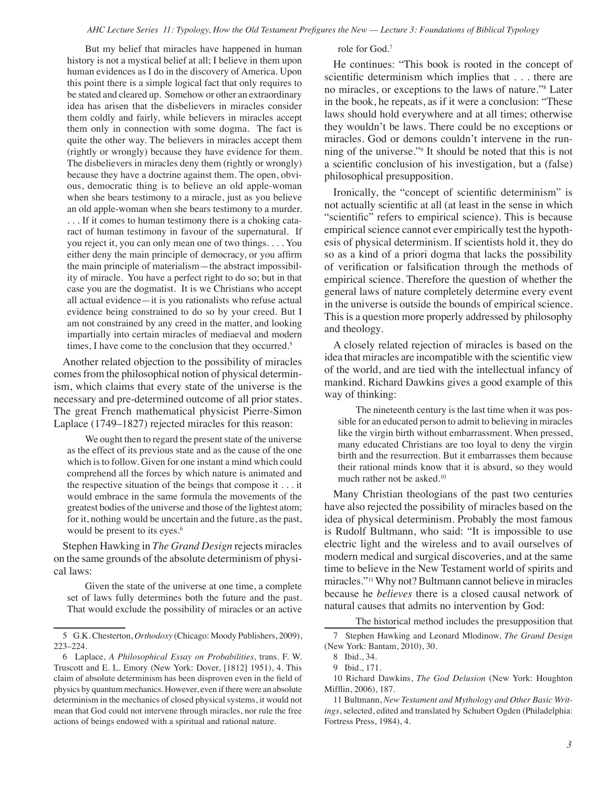But my belief that miracles have happened in human history is not a mystical belief at all; I believe in them upon human evidences as I do in the discovery of America. Upon this point there is a simple logical fact that only requires to be stated and cleared up. Somehow or other an extraordinary idea has arisen that the disbelievers in miracles consider them coldly and fairly, while believers in miracles accept them only in connection with some dogma. The fact is quite the other way. The believers in miracles accept them (rightly or wrongly) because they have evidence for them. The disbelievers in miracles deny them (rightly or wrongly) because they have a doctrine against them. The open, obvious, democratic thing is to believe an old apple-woman when she bears testimony to a miracle, just as you believe an old apple-woman when she bears testimony to a murder. ... If it comes to human testimony there is a choking cataract of human testimony in favour of the supernatural. If you reject it, you can only mean one of two things. . . . You either deny the main principle of democracy, or you affirm the main principle of materialism—the abstract impossibility of miracle. You have a perfect right to do so; but in that case you are the dogmatist. It is we Christians who accept all actual evidence—it is you rationalists who refuse actual evidence being constrained to do so by your creed. But I am not constrained by any creed in the matter, and looking impartially into certain miracles of mediaeval and modern times, I have come to the conclusion that they occurred.<sup>5</sup>

Another related objection to the possibility of miracles comes from the philosophical notion of physical determinism, which claims that every state of the universe is the necessary and pre-determined outcome of all prior states. The great French mathematical physicist Pierre-Simon Laplace (1749–1827) rejected miracles for this reason:

We ought then to regard the present state of the universe as the effect of its previous state and as the cause of the one which is to follow. Given for one instant a mind which could comprehend all the forces by which nature is animated and the respective situation of the beings that compose it . . . it would embrace in the same formula the movements of the greatest bodies of the universe and those of the lightest atom; for it, nothing would be uncertain and the future, as the past, would be present to its eyes.<sup>6</sup>

Stephen Hawking in *The Grand Design* rejects miracles on the same grounds of the absolute determinism of physical laws:

Given the state of the universe at one time, a complete set of laws fully determines both the future and the past. That would exclude the possibility of miracles or an active

role for God.7

He continues: "This book is rooted in the concept of scientific determinism which implies that . . . there are no miracles, or exceptions to the laws of nature."8 Later in the book, he repeats, as if it were a conclusion: "These laws should hold everywhere and at all times; otherwise they wouldn't be laws. There could be no exceptions or miracles. God or demons couldn't intervene in the running of the universe."9 It should be noted that this is not a scientific conclusion of his investigation, but a (false) philosophical presupposition.

Ironically, the "concept of scientific determinism" is not actually scientific at all (at least in the sense in which "scientific" refers to empirical science). This is because empirical science cannot ever empirically test the hypothesis of physical determinism. If scientists hold it, they do so as a kind of a priori dogma that lacks the possibility of verification or falsification through the methods of empirical science. Therefore the question of whether the general laws of nature completely determine every event in the universe is outside the bounds of empirical science. This is a question more properly addressed by philosophy and theology.

A closely related rejection of miracles is based on the idea that miracles are incompatible with the scientific view of the world, and are tied with the intellectual infancy of mankind. Richard Dawkins gives a good example of this way of thinking:

The nineteenth century is the last time when it was possible for an educated person to admit to believing in miracles like the virgin birth without embarrassment. When pressed, many educated Christians are too loyal to deny the virgin birth and the resurrection. But it embarrasses them because their rational minds know that it is absurd, so they would much rather not be asked.10

Many Christian theologians of the past two centuries have also rejected the possibility of miracles based on the idea of physical determinism. Probably the most famous is Rudolf Bultmann, who said: "It is impossible to use electric light and the wireless and to avail ourselves of modern medical and surgical discoveries, and at the same time to believe in the New Testament world of spirits and miracles."11 Why not? Bultmann cannot believe in miracles because he *believes* there is a closed causal network of natural causes that admits no intervention by God:

The historical method includes the presupposition that

<sup>5</sup> G.K. Chesterton, *Orthodoxy* (Chicago: Moody Publishers, 2009), 223–224.

<sup>6</sup> Laplace, *A Philosophical Essay on Probabilities*, trans. F. W. Truscott and E. L. Emory (New York: Dover, [1812] 1951), 4. This claim of absolute determinism has been disproven even in the field of physics by quantum mechanics. However, even if there were an absolute determinism in the mechanics of closed physical systems, it would not mean that God could not intervene through miracles, nor rule the free actions of beings endowed with a spiritual and rational nature.

<sup>7</sup> Stephen Hawking and Leonard Mlodinow, *The Grand Design*  (New York: Bantam, 2010), 30.

<sup>8</sup> Ibid., 34.

<sup>9</sup> Ibid., 171.

<sup>10</sup> Richard Dawkins, *The God Delusion* (New York: Houghton Mifflin, 2006), 187.

<sup>11</sup> Bultmann, *New Testament and Mythology and Other Basic Writings*, selected, edited and translated by Schubert Ogden (Philadelphia: Fortress Press, 1984), 4.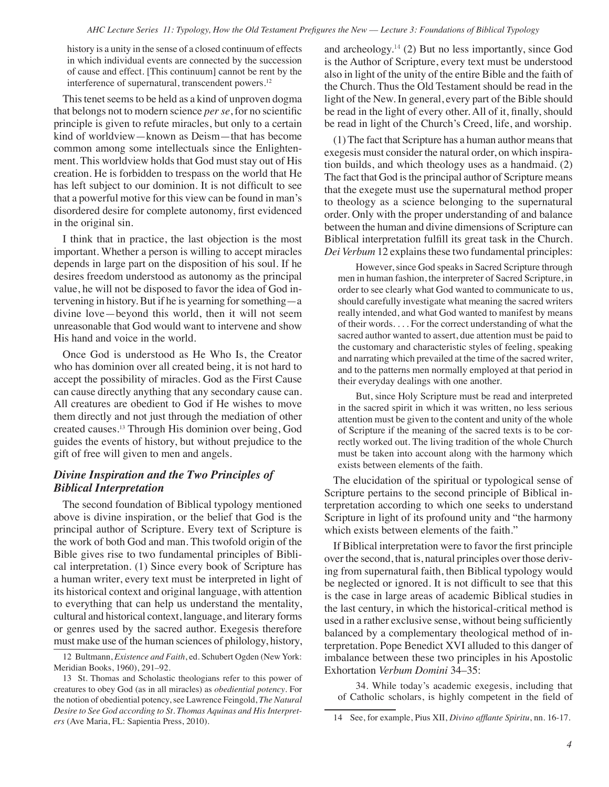history is a unity in the sense of a closed continuum of effects in which individual events are connected by the succession of cause and effect. [This continuum] cannot be rent by the interference of supernatural, transcendent powers.<sup>12</sup>

This tenet seems to be held as a kind of unproven dogma that belongs not to modern science *per se*, for no scientific principle is given to refute miracles, but only to a certain kind of worldview—known as Deism—that has become common among some intellectuals since the Enlightenment. This worldview holds that God must stay out of His creation. He is forbidden to trespass on the world that He has left subject to our dominion. It is not difficult to see that a powerful motive for this view can be found in man's disordered desire for complete autonomy, first evidenced in the original sin.

I think that in practice, the last objection is the most important. Whether a person is willing to accept miracles depends in large part on the disposition of his soul. If he desires freedom understood as autonomy as the principal value, he will not be disposed to favor the idea of God intervening in history. But if he is yearning for something—a divine love—beyond this world, then it will not seem unreasonable that God would want to intervene and show His hand and voice in the world.

Once God is understood as He Who Is, the Creator who has dominion over all created being, it is not hard to accept the possibility of miracles. God as the First Cause can cause directly anything that any secondary cause can. All creatures are obedient to God if He wishes to move them directly and not just through the mediation of other created causes.13 Through His dominion over being, God guides the events of history, but without prejudice to the gift of free will given to men and angels.

#### *Divine Inspiration and the Two Principles of Biblical Interpretation*

The second foundation of Biblical typology mentioned above is divine inspiration, or the belief that God is the principal author of Scripture. Every text of Scripture is the work of both God and man. This twofold origin of the Bible gives rise to two fundamental principles of Biblical interpretation. (1) Since every book of Scripture has a human writer, every text must be interpreted in light of its historical context and original language, with attention to everything that can help us understand the mentality, cultural and historical context, language, and literary forms or genres used by the sacred author. Exegesis therefore must make use of the human sciences of philology, history, and archeology. $14$  (2) But no less importantly, since God is the Author of Scripture, every text must be understood also in light of the unity of the entire Bible and the faith of the Church. Thus the Old Testament should be read in the light of the New. In general, every part of the Bible should be read in the light of every other. All of it, finally, should be read in light of the Church's Creed, life, and worship.

(1) The fact that Scripture has a human author means that exegesis must consider the natural order, on which inspiration builds, and which theology uses as a handmaid. (2) The fact that God is the principal author of Scripture means that the exegete must use the supernatural method proper to theology as a science belonging to the supernatural order. Only with the proper understanding of and balance between the human and divine dimensions of Scripture can Biblical interpretation fulfill its great task in the Church. *Dei Verbum* 12 explains these two fundamental principles:

However, since God speaks in Sacred Scripture through men in human fashion, the interpreter of Sacred Scripture, in order to see clearly what God wanted to communicate to us, should carefully investigate what meaning the sacred writers really intended, and what God wanted to manifest by means of their words. . . . For the correct understanding of what the sacred author wanted to assert, due attention must be paid to the customary and characteristic styles of feeling, speaking and narrating which prevailed at the time of the sacred writer, and to the patterns men normally employed at that period in their everyday dealings with one another.

But, since Holy Scripture must be read and interpreted in the sacred spirit in which it was written, no less serious attention must be given to the content and unity of the whole of Scripture if the meaning of the sacred texts is to be correctly worked out. The living tradition of the whole Church must be taken into account along with the harmony which exists between elements of the faith.

The elucidation of the spiritual or typological sense of Scripture pertains to the second principle of Biblical interpretation according to which one seeks to understand Scripture in light of its profound unity and "the harmony which exists between elements of the faith."

If Biblical interpretation were to favor the first principle over the second, that is, natural principles over those deriving from supernatural faith, then Biblical typology would be neglected or ignored. It is not difficult to see that this is the case in large areas of academic Biblical studies in the last century, in which the historical-critical method is used in a rather exclusive sense, without being sufficiently balanced by a complementary theological method of interpretation. Pope Benedict XVI alluded to this danger of imbalance between these two principles in his Apostolic Exhortation *Verbum Domini* 34–35:

34. While today's academic exegesis, including that of Catholic scholars, is highly competent in the field of

<sup>12</sup> Bultmann, *Existence and Faith*, ed. Schubert Ogden (New York: Meridian Books, 1960), 291–92.

<sup>13</sup> St. Thomas and Scholastic theologians refer to this power of creatures to obey God (as in all miracles) as *obediential potency*. For the notion of obediential potency, see Lawrence Feingold, *The Natural Desire to See God according to St. Thomas Aquinas and His Interpreters* (Ave Maria, FL: Sapientia Press, 2010).

<sup>14</sup> See, for example, Pius XII, *Divino afflante Spiritu*, nn. 16-17.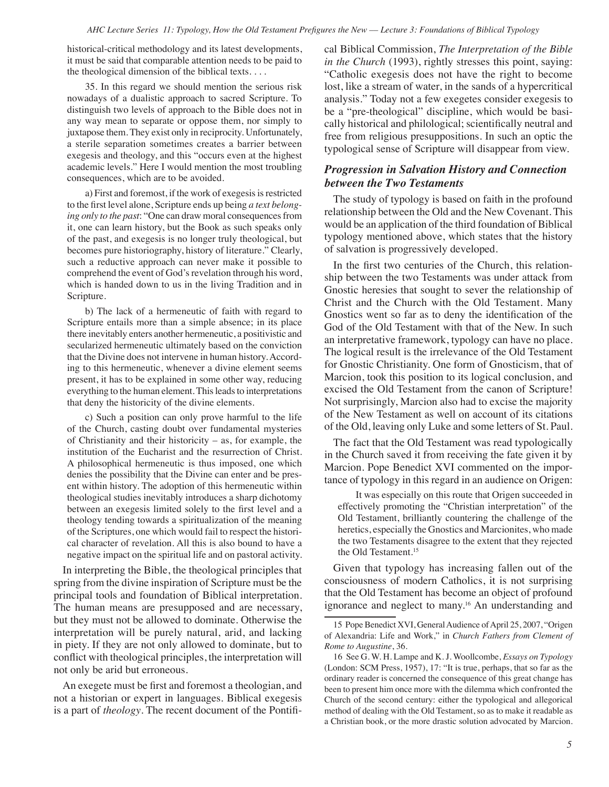historical-critical methodology and its latest developments, it must be said that comparable attention needs to be paid to the theological dimension of the biblical texts. . . .

35. In this regard we should mention the serious risk nowadays of a dualistic approach to sacred Scripture. To distinguish two levels of approach to the Bible does not in any way mean to separate or oppose them, nor simply to juxtapose them. They exist only in reciprocity. Unfortunately, a sterile separation sometimes creates a barrier between exegesis and theology, and this "occurs even at the highest academic levels." Here I would mention the most troubling consequences, which are to be avoided.

a) First and foremost, if the work of exegesis is restricted to the first level alone, Scripture ends up being *a text belonging only to the past*: "One can draw moral consequences from it, one can learn history, but the Book as such speaks only of the past, and exegesis is no longer truly theological, but becomes pure historiography, history of literature." Clearly, such a reductive approach can never make it possible to comprehend the event of God's revelation through his word, which is handed down to us in the living Tradition and in Scripture.

b) The lack of a hermeneutic of faith with regard to Scripture entails more than a simple absence; in its place there inevitably enters another hermeneutic, a positivistic and secularized hermeneutic ultimately based on the conviction that the Divine does not intervene in human history. According to this hermeneutic, whenever a divine element seems present, it has to be explained in some other way, reducing everything to the human element. This leads to interpretations that deny the historicity of the divine elements.

c) Such a position can only prove harmful to the life of the Church, casting doubt over fundamental mysteries of Christianity and their historicity – as, for example, the institution of the Eucharist and the resurrection of Christ. A philosophical hermeneutic is thus imposed, one which denies the possibility that the Divine can enter and be present within history. The adoption of this hermeneutic within theological studies inevitably introduces a sharp dichotomy between an exegesis limited solely to the first level and a theology tending towards a spiritualization of the meaning of the Scriptures, one which would fail to respect the historical character of revelation. All this is also bound to have a negative impact on the spiritual life and on pastoral activity.

In interpreting the Bible, the theological principles that spring from the divine inspiration of Scripture must be the principal tools and foundation of Biblical interpretation. The human means are presupposed and are necessary, but they must not be allowed to dominate. Otherwise the interpretation will be purely natural, arid, and lacking in piety. If they are not only allowed to dominate, but to conflict with theological principles, the interpretation will not only be arid but erroneous.

An exegete must be first and foremost a theologian, and not a historian or expert in languages. Biblical exegesis is a part of *theology*. The recent document of the Pontifical Biblical Commission, *The Interpretation of the Bible in the Church* (1993), rightly stresses this point, saying: "Catholic exegesis does not have the right to become lost, like a stream of water, in the sands of a hypercritical analysis." Today not a few exegetes consider exegesis to be a "pre-theological" discipline, which would be basically historical and philological; scientifically neutral and free from religious presuppositions. In such an optic the typological sense of Scripture will disappear from view.

#### *Progression in Salvation History and Connection between the Two Testaments*

The study of typology is based on faith in the profound relationship between the Old and the New Covenant. This would be an application of the third foundation of Biblical typology mentioned above, which states that the history of salvation is progressively developed.

In the first two centuries of the Church, this relationship between the two Testaments was under attack from Gnostic heresies that sought to sever the relationship of Christ and the Church with the Old Testament. Many Gnostics went so far as to deny the identification of the God of the Old Testament with that of the New. In such an interpretative framework, typology can have no place. The logical result is the irrelevance of the Old Testament for Gnostic Christianity. One form of Gnosticism, that of Marcion, took this position to its logical conclusion, and excised the Old Testament from the canon of Scripture! Not surprisingly, Marcion also had to excise the majority of the New Testament as well on account of its citations of the Old, leaving only Luke and some letters of St. Paul.

The fact that the Old Testament was read typologically in the Church saved it from receiving the fate given it by Marcion. Pope Benedict XVI commented on the importance of typology in this regard in an audience on Origen:

It was especially on this route that Origen succeeded in effectively promoting the "Christian interpretation" of the Old Testament, brilliantly countering the challenge of the heretics, especially the Gnostics and Marcionites, who made the two Testaments disagree to the extent that they rejected the Old Testament.<sup>15</sup>

Given that typology has increasing fallen out of the consciousness of modern Catholics, it is not surprising that the Old Testament has become an object of profound ignorance and neglect to many.16 An understanding and

<sup>15</sup> Pope Benedict XVI, General Audience of April 25, 2007, "Origen of Alexandria: Life and Work," in *Church Fathers from Clement of Rome to Augustine*, 36.

<sup>16</sup> See G. W. H. Lampe and K. J. Woollcombe, *Essays on Typology* (London: SCM Press, 1957), 17: "It is true, perhaps, that so far as the ordinary reader is concerned the consequence of this great change has been to present him once more with the dilemma which confronted the Church of the second century: either the typological and allegorical method of dealing with the Old Testament, so as to make it readable as a Christian book, or the more drastic solution advocated by Marcion.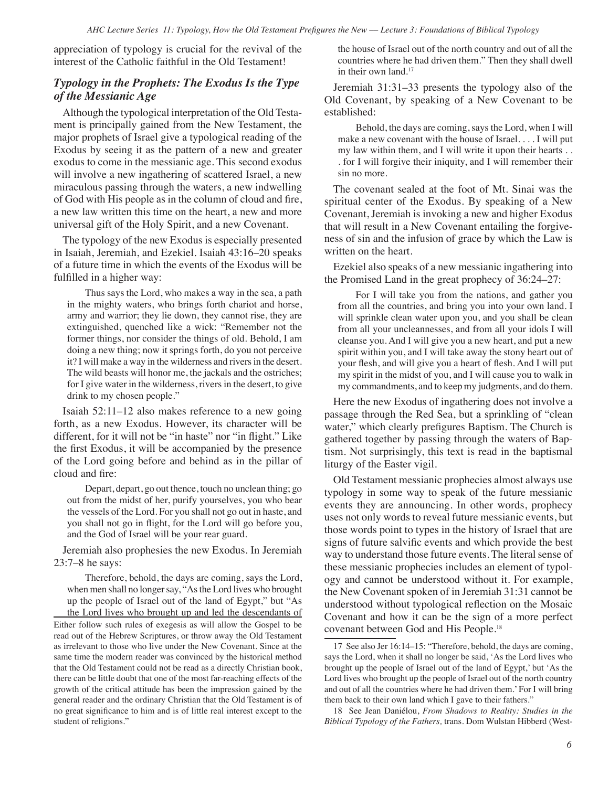appreciation of typology is crucial for the revival of the interest of the Catholic faithful in the Old Testament!

#### *Typology in the Prophets: The Exodus Is the Type of the Messianic Age*

Although the typological interpretation of the Old Testament is principally gained from the New Testament, the major prophets of Israel give a typological reading of the Exodus by seeing it as the pattern of a new and greater exodus to come in the messianic age. This second exodus will involve a new ingathering of scattered Israel, a new miraculous passing through the waters, a new indwelling of God with His people as in the column of cloud and fire, a new law written this time on the heart, a new and more universal gift of the Holy Spirit, and a new Covenant.

The typology of the new Exodus is especially presented in Isaiah, Jeremiah, and Ezekiel. Isaiah 43:16–20 speaks of a future time in which the events of the Exodus will be fulfilled in a higher way:

Thus says the Lord, who makes a way in the sea, a path in the mighty waters, who brings forth chariot and horse, army and warrior; they lie down, they cannot rise, they are extinguished, quenched like a wick: "Remember not the former things, nor consider the things of old. Behold, I am doing a new thing; now it springs forth, do you not perceive it? I will make a way in the wilderness and rivers in the desert. The wild beasts will honor me, the jackals and the ostriches; for I give water in the wilderness, rivers in the desert, to give drink to my chosen people."

Isaiah 52:11–12 also makes reference to a new going forth, as a new Exodus. However, its character will be different, for it will not be "in haste" nor "in flight." Like the first Exodus, it will be accompanied by the presence of the Lord going before and behind as in the pillar of cloud and fire:

Depart, depart, go out thence, touch no unclean thing; go out from the midst of her, purify yourselves, you who bear the vessels of the Lord. For you shall not go out in haste, and you shall not go in flight, for the Lord will go before you, and the God of Israel will be your rear guard.

Jeremiah also prophesies the new Exodus. In Jeremiah 23:7–8 he says:

Therefore, behold, the days are coming, says the Lord, when men shall no longer say, "As the Lord lives who brought up the people of Israel out of the land of Egypt," but "As the Lord lives who brought up and led the descendants of Either follow such rules of exegesis as will allow the Gospel to be read out of the Hebrew Scriptures, or throw away the Old Testament as irrelevant to those who live under the New Covenant. Since at the same time the modern reader was convinced by the historical method that the Old Testament could not be read as a directly Christian book, there can be little doubt that one of the most far-reaching effects of the growth of the critical attitude has been the impression gained by the general reader and the ordinary Christian that the Old Testament is of no great significance to him and is of little real interest except to the student of religions."

the house of Israel out of the north country and out of all the countries where he had driven them." Then they shall dwell in their own land.<sup>17</sup>

Jeremiah 31:31–33 presents the typology also of the Old Covenant, by speaking of a New Covenant to be established:

Behold, the days are coming, says the Lord, when I will make a new covenant with the house of Israel. . . . I will put my law within them, and I will write it upon their hearts . . . for I will forgive their iniquity, and I will remember their sin no more.

The covenant sealed at the foot of Mt. Sinai was the spiritual center of the Exodus. By speaking of a New Covenant, Jeremiah is invoking a new and higher Exodus that will result in a New Covenant entailing the forgiveness of sin and the infusion of grace by which the Law is written on the heart.

Ezekiel also speaks of a new messianic ingathering into the Promised Land in the great prophecy of 36:24–27:

For I will take you from the nations, and gather you from all the countries, and bring you into your own land. I will sprinkle clean water upon you, and you shall be clean from all your uncleannesses, and from all your idols I will cleanse you. And I will give you a new heart, and put a new spirit within you, and I will take away the stony heart out of your flesh, and will give you a heart of flesh. And I will put my spirit in the midst of you, and I will cause you to walk in my commandments, and to keep my judgments, and do them.

Here the new Exodus of ingathering does not involve a passage through the Red Sea, but a sprinkling of "clean water," which clearly prefigures Baptism. The Church is gathered together by passing through the waters of Baptism. Not surprisingly, this text is read in the baptismal liturgy of the Easter vigil.

Old Testament messianic prophecies almost always use typology in some way to speak of the future messianic events they are announcing. In other words, prophecy uses not only words to reveal future messianic events, but those words point to types in the history of Israel that are signs of future salvific events and which provide the best way to understand those future events. The literal sense of these messianic prophecies includes an element of typology and cannot be understood without it. For example, the New Covenant spoken of in Jeremiah 31:31 cannot be understood without typological reflection on the Mosaic Covenant and how it can be the sign of a more perfect covenant between God and His People.18

18 See Jean Daniélou, *From Shadows to Reality: Studies in the Biblical Typology of the Fathers,* trans. Dom Wulstan Hibberd (West-

<sup>17</sup> See also Jer 16:14–15: "Therefore, behold, the days are coming, says the Lord, when it shall no longer be said, 'As the Lord lives who brought up the people of Israel out of the land of Egypt,' but 'As the Lord lives who brought up the people of Israel out of the north country and out of all the countries where he had driven them.' For I will bring them back to their own land which I gave to their fathers."